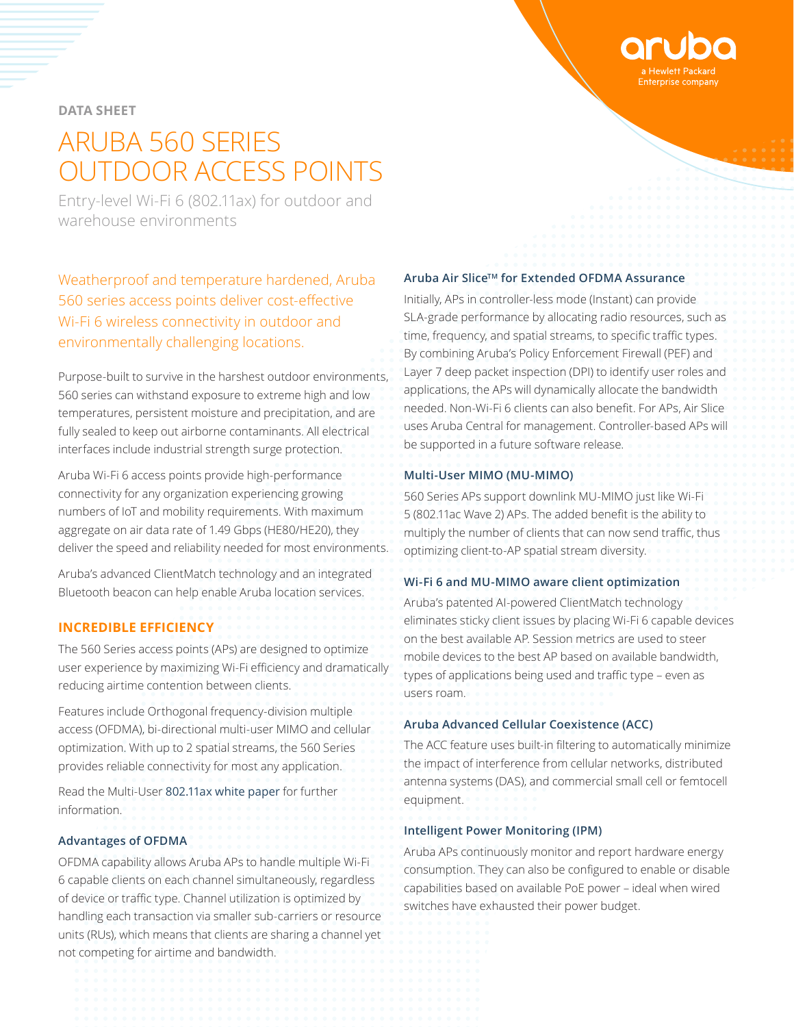**DATA SHEET**

# ARUBA 560 SERIES OUTDOOR ACCESS POINTS

Entry-level Wi-Fi 6 (802.11ax) for outdoor and warehouse environments

Weatherproof and temperature hardened, Aruba 560 series access points deliver cost-effective Wi-Fi 6 wireless connectivity in outdoor and environmentally challenging locations.

Purpose-built to survive in the harshest outdoor environments, 560 series can withstand exposure to extreme high and low temperatures, persistent moisture and precipitation, and are fully sealed to keep out airborne contaminants. All electrical interfaces include industrial strength surge protection.

Aruba Wi-Fi 6 access points provide high-performance connectivity for any organization experiencing growing numbers of IoT and mobility requirements. With maximum aggregate on air data rate of 1.49 Gbps (HE80/HE20), they deliver the speed and reliability needed for most environments.

Aruba's advanced ClientMatch technology and an integrated Bluetooth beacon can help enable Aruba location services.

## **INCREDIBLE EFFICIENCY**

The 560 Series access points (APs) are designed to optimize user experience by maximizing Wi-Fi efficiency and dramatically reducing airtime contention between clients.

Features include Orthogonal frequency-division multiple access (OFDMA), bi-directional multi-user MIMO and cellular optimization. With up to 2 spatial streams, the 560 Series provides reliable connectivity for most any application.

Read the Multi-User [802.11ax white paper](https://www.arubanetworks.com/assets/wp/WP_Multi-User-802.11ax.pdf) for further information.

## **Advantages of OFDMA**

OFDMA capability allows Aruba APs to handle multiple Wi-Fi 6 capable clients on each channel simultaneously, regardless of device or traffic type. Channel utilization is optimized by handling each transaction via smaller sub-carriers or resource units (RUs), which means that clients are sharing a channel yet not competing for airtime and bandwidth.

## **Aruba Air SliceTM for Extended OFDMA Assurance**

Initially, APs in controller-less mode (Instant) can provide SLA-grade performance by allocating radio resources, such as time, frequency, and spatial streams, to specific traffic types. By combining Aruba's Policy Enforcement Firewall (PEF) and Layer 7 deep packet inspection (DPI) to identify user roles and applications, the APs will dynamically allocate the bandwidth needed. Non-Wi-Fi 6 clients can also benefit. For APs, Air Slice uses Aruba Central for management. Controller-based APs will be supported in a future software release.

#### **Multi-User MIMO (MU-MIMO)**

560 Series APs support downlink MU-MIMO just like Wi-Fi 5 (802.11ac Wave 2) APs. The added benefit is the ability to multiply the number of clients that can now send traffic, thus optimizing client-to-AP spatial stream diversity.

#### **Wi-Fi 6 and MU-MIMO aware client optimization**

Aruba's patented AI-powered ClientMatch technology eliminates sticky client issues by placing Wi-Fi 6 capable devices on the best available AP. Session metrics are used to steer mobile devices to the best AP based on available bandwidth, types of applications being used and traffic type – even as users roam.

#### **Aruba Advanced Cellular Coexistence (ACC)**

The ACC feature uses built-in filtering to automatically minimize the impact of interference from cellular networks, distributed antenna systems (DAS), and commercial small cell or femtocell equipment.

#### **Intelligent Power Monitoring (IPM)**

Aruba APs continuously monitor and report hardware energy consumption. They can also be configured to enable or disable capabilities based on available PoE power – ideal when wired switches have exhausted their power budget.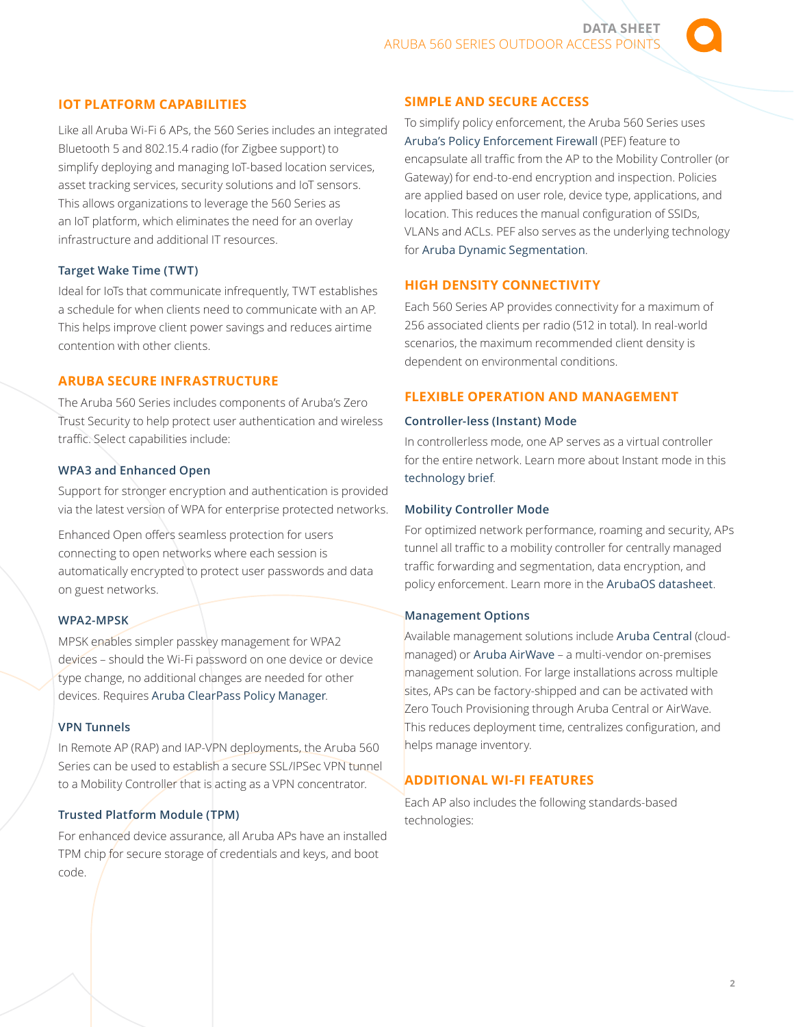## **IOT PLATFORM CAPABILITIES**

Like all Aruba Wi-Fi 6 APs, the 560 Series includes an integrated Bluetooth 5 and 802.15.4 radio (for Zigbee support) to simplify deploying and managing IoT-based location services, asset tracking services, security solutions and IoT sensors. This allows organizations to leverage the 560 Series as an IoT platform, which eliminates the need for an overlay infrastructure and additional IT resources.

## **Target Wake Time (TWT)**

Ideal for IoTs that communicate infrequently, TWT establishes a schedule for when clients need to communicate with an AP. This helps improve client power savings and reduces airtime contention with other clients.

## **ARUBA SECURE INFRASTRUCTURE**

The Aruba 560 Series includes components of Aruba's Zero Trust Security to help protect user authentication and wireless traffic. Select capabilities include:

#### **WPA3 and Enhanced Open**

Support for stronger encryption and authentication is provided via the latest version of WPA for enterprise protected networks.

Enhanced Open offers seamless protection for users connecting to open networks where each session is automatically encrypted to protect user passwords and data on guest networks.

## **WPA2-MPSK**

MPSK enables simpler passkey management for WPA2 devices – should the Wi-Fi password on one device or device type change, no additional changes are needed for other devices. Requires [Aruba ClearPass Policy Manager](https://www.arubanetworks.com/assets/ds/DS_ClearPass_PolicyManager.pdf).

## **VPN Tunnels**

In Remote AP (RAP) and IAP-VPN deployments, the Aruba 560 Series can be used to establish a secure SSL/IPSec VPN tunnel to a Mobility Controller that is acting as a VPN concentrator.

## **Trusted Platform Module (TPM)**

For enhanced device assurance, all Aruba APs have an installed TPM chip for secure storage of credentials and keys, and boot code.

## **SIMPLE AND SECURE ACCESS**

To simplify policy enforcement, the Aruba 560 Series uses [Aruba's Policy Enforcement Firewall](https://www.arubanetworks.com/assets/tg/TB_PEF.pdf) (PEF) feature to encapsulate all traffic from the AP to the Mobility Controller (or Gateway) for end-to-end encryption and inspection. Policies are applied based on user role, device type, applications, and location. This reduces the manual configuration of SSIDs, VLANs and ACLs. PEF also serves as the underlying technology for [Aruba Dynamic Segmentation](https://www.arubanetworks.com/solutions/dynamic-segmentation/).

## **HIGH DENSITY CONNECTIVITY**

Each 560 Series AP provides connectivity for a maximum of 256 associated clients per radio (512 in total). In real-world scenarios, the maximum recommended client density is dependent on environmental conditions.

## **FLEXIBLE OPERATION AND MANAGEMENT**

#### **Controller-less (Instant) Mode**

In controllerless mode, one AP serves as a virtual controller for the entire network. Learn more about Instant mode in this [technology brief](https://www.arubanetworks.com/assets/tg/TB_Aruba-Instant-Mode.pdf).

#### **Mobility Controller Mode**

For optimized network performance, roaming and security, APs tunnel all traffic to a mobility controller for centrally managed traffic forwarding and segmentation, data encryption, and policy enforcement. Learn more in the [ArubaOS datasheet](https://www.arubanetworks.com/assets/ds/DS_ArubaOS.pdf).

#### **Management Options**

Available management solutions include [Aruba Central](https://www.arubanetworks.com/assets/ds/DS_ArubaCentral.pdf) (cloudmanaged) or [Aruba AirWave](https://www.arubanetworks.com/assets/ds/DS_AW.pdf) – a multi-vendor on-premises management solution. For large installations across multiple sites, APs can be factory-shipped and can be activated with Zero Touch Provisioning through Aruba Central or AirWave. This reduces deployment time, centralizes configuration, and helps manage inventory.

## **ADDITIONAL WI-FI FEATURES**

Each AP also includes the following standards-based technologies: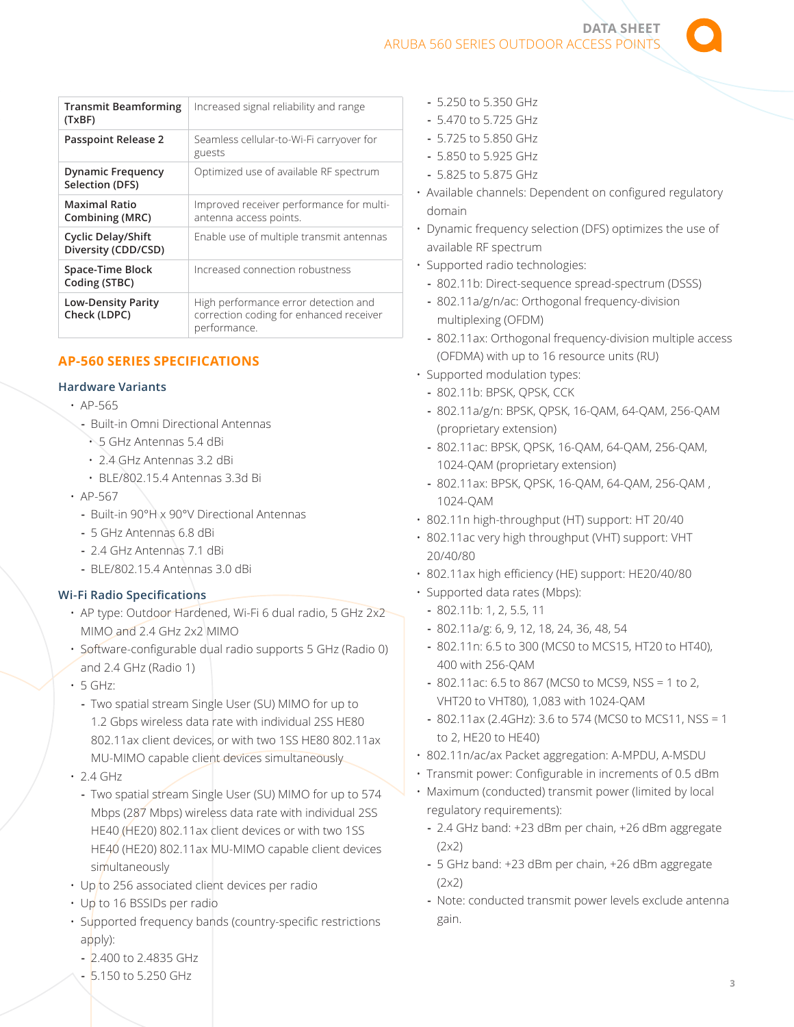**DATA SHEET**  ARUBA 560 SERIES OUTDOOR ACCESS POINTS

| <b>Transmit Beamforming</b><br>(TxBF)            | Increased signal reliability and range                                                          |
|--------------------------------------------------|-------------------------------------------------------------------------------------------------|
| <b>Passpoint Release 2</b>                       | Seamless cellular-to-Wi-Fi carryover for<br>guests                                              |
| <b>Dynamic Frequency</b><br>Selection (DFS)      | Optimized use of available RF spectrum                                                          |
| <b>Maximal Ratio</b><br>Combining (MRC)          | Improved receiver performance for multi-<br>antenna access points.                              |
| <b>Cyclic Delay/Shift</b><br>Diversity (CDD/CSD) | Enable use of multiple transmit antennas                                                        |
| Space-Time Block<br>Coding (STBC)                | Increased connection robustness                                                                 |
| <b>Low-Density Parity</b><br>Check (LDPC)        | High performance error detection and<br>correction coding for enhanced receiver<br>performance. |

# **AP-560 SERIES SPECIFICATIONS**

## **Hardware Variants**

- AP-565
- **-** Built-in Omni Directional Antennas
	- 5 GHz Antennas 5.4 dBi
- 2.4 GHz Antennas 3.2 dBi
- BLE/802.15.4 Antennas 3.3d Bi
- AP-567
	- **-** Built-in 90°H x 90°V Directional Antennas
	- **-** 5 GHz Antennas 6.8 dBi
	- **-** 2.4 GHz Antennas 7.1 dBi
	- **-** BLE/802.15.4 Antennas 3.0 dBi

## **Wi-Fi Radio Specifications**

- AP type: Outdoor Hardened, Wi-Fi 6 dual radio, 5 GHz 2x2 MIMO and 2.4 GHz 2x2 MIMO
- Software-configurable dual radio supports 5 GHz (Radio 0) and 2.4 GHz (Radio 1)
- 5 GHz:
	- **-** Two spatial stream Single User (SU) MIMO for up to 1.2 Gbps wireless data rate with individual 2SS HE80 802.11ax client devices, or with two 1SS HE80 802.11ax MU-MIMO capable client devices simultaneously
- 2.4 GHz
- **-** Two spatial stream Single User (SU) MIMO for up to 574 Mbps (287 Mbps) wireless data rate with individual 2SS HE40 (HE20) 802.11ax client devices or with two 1SS HE40 (HE20) 802.11ax MU-MIMO capable client devices simultaneously
- Up to 256 associated client devices per radio
- Up to 16 BSSIDs per radio
- Supported frequency bands (country-specific restrictions apply):
	- **-** 2.400 to 2.4835 GHz
	- **-** 5.150 to 5.250 GHz
- **-** 5.250 to 5.350 GHz
- **-** 5.470 to 5.725 GHz
- **-** 5.725 to 5.850 GHz
- **-** 5.850 to 5.925 GHz
- **-** 5.825 to 5.875 GHz
- Available channels: Dependent on configured regulatory domain
- Dynamic frequency selection (DFS) optimizes the use of available RF spectrum
- Supported radio technologies:
	- **-** 802.11b: Direct-sequence spread-spectrum (DSSS)
	- **-** 802.11a/g/n/ac: Orthogonal frequency-division multiplexing (OFDM)
	- **-** 802.11ax: Orthogonal frequency-division multiple access (OFDMA) with up to 16 resource units (RU)
- Supported modulation types:
	- **-** 802.11b: BPSK, QPSK, CCK
	- **-** 802.11a/g/n: BPSK, QPSK, 16-QAM, 64-QAM, 256-QAM (proprietary extension)
	- **-** 802.11ac: BPSK, QPSK, 16-QAM, 64-QAM, 256-QAM, 1024-QAM (proprietary extension)
	- **-** 802.11ax: BPSK, QPSK, 16-QAM, 64-QAM, 256-QAM , 1024-QAM
- 802.11n high-throughput (HT) support: HT 20/40
- 802.11ac very high throughput (VHT) support: VHT 20/40/80
- 802.11ax high efficiency (HE) support: HE20/40/80
- Supported data rates (Mbps):
	- **-** 802.11b: 1, 2, 5.5, 11
	- **-** 802.11a/g: 6, 9, 12, 18, 24, 36, 48, 54
	- **-** 802.11n: 6.5 to 300 (MCS0 to MCS15, HT20 to HT40), 400 with 256-QAM
	- **-** 802.11ac: 6.5 to 867 (MCS0 to MCS9, NSS = 1 to 2, VHT20 to VHT80), 1,083 with 1024-QAM
	- **-** 802.11ax (2.4GHz): 3.6 to 574 (MCS0 to MCS11, NSS = 1 to 2, HE20 to HE40)
- 802.11n/ac/ax Packet aggregation: A-MPDU, A-MSDU
- Transmit power: Configurable in increments of 0.5 dBm
- Maximum (conducted) transmit power (limited by local regulatory requirements):
	- **-** 2.4 GHz band: +23 dBm per chain, +26 dBm aggregate (2x2)
	- **-** 5 GHz band: +23 dBm per chain, +26 dBm aggregate (2x2)
	- **-** Note: conducted transmit power levels exclude antenna gain.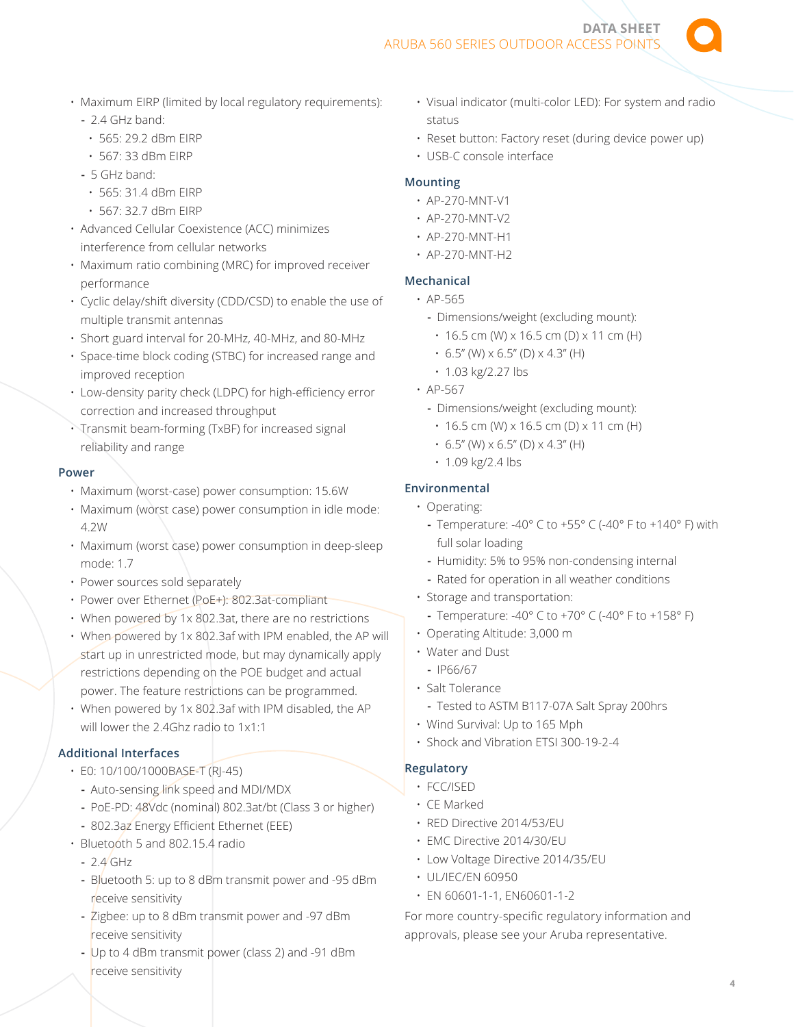ARUBA 560 SERIES OUTDOOR ACCESS POINT

• Maximum EIRP (limited by local regulatory requirements):

## **-** 2.4 GHz band:

- 565: 29.2 dBm EIRP
- 567: 33 dBm EIRP
- **-** 5 GHz band:
- 565: 31.4 dBm EIRP
- 567: 32.7 dBm EIRP
- Advanced Cellular Coexistence (ACC) minimizes interference from cellular networks
- Maximum ratio combining (MRC) for improved receiver performance
- Cyclic delay/shift diversity (CDD/CSD) to enable the use of multiple transmit antennas
- Short guard interval for 20-MHz, 40-MHz, and 80-MHz
- Space-time block coding (STBC) for increased range and improved reception
- Low-density parity check (LDPC) for high-efficiency error correction and increased throughput
- Transmit beam-forming (TxBF) for increased signal reliability and range

#### **Power**

- Maximum (worst-case) power consumption: 15.6W
- Maximum (worst case) power consumption in idle mode: 4.2W
- Maximum (worst case) power consumption in deep-sleep mode: 1.7
- Power sources sold separately
- Power over Ethernet (PoE+): 802.3at-compliant
- When powered by 1x 802.3at, there are no restrictions
- When powered by 1x 802.3af with IPM enabled, the AP will start up in unrestricted mode, but may dynamically apply restrictions depending on the POE budget and actual power. The feature restrictions can be programmed.
- When powered by 1x 802.3af with IPM disabled, the AP will lower the 2.4Ghz radio to 1x1:1

## **Additional Interfaces**

- E0: 10/100/1000BASE-T (RJ-45)
- **-** Auto-sensing link speed and MDI/MDX
- **-** PoE-PD: 48Vdc (nominal) 802.3at/bt (Class 3 or higher)
- **-** 802.3az Energy Efficient Ethernet (EEE)
- Bluetooth 5 and 802.15.4 radio
	- **-** 2.4 GHz
	- **-** Bluetooth 5: up to 8 dBm transmit power and -95 dBm receive sensitivity
	- **-** Zigbee: up to 8 dBm transmit power and -97 dBm receive sensitivity
	- **-** Up to 4 dBm transmit power (class 2) and -91 dBm receive sensitivity

• Visual indicator (multi-color LED): For system and radio status

**DATA SHEET** 

- Reset button: Factory reset (during device power up)
- USB-C console interface

## **Mounting**

- AP-270-MNT-V1
- AP-270-MNT-V2
- AP-270-MNT-H1
- AP-270-MNT-H2

## **Mechanical**

- AP-565
	- **-** Dimensions/weight (excluding mount):
	- $\cdot$  16.5 cm (W) x 16.5 cm (D) x 11 cm (H)
	- $\cdot$  6.5" (W)  $\times$  6.5" (D)  $\times$  4.3" (H)
	- 1.03 kg/2.27 lbs
- AP-567
	- **-** Dimensions/weight (excluding mount):
		- $\cdot$  16.5 cm (W) x 16.5 cm (D) x 11 cm (H)
		- $\cdot$  6.5" (W)  $\times$  6.5" (D)  $\times$  4.3" (H)
		- 1.09 kg/2.4 lbs

## **Environmental**

- Operating:
	- **-** Temperature: -40° C to +55° C (-40° F to +140° F) with full solar loading
	- **-** Humidity: 5% to 95% non-condensing internal
	- **-** Rated for operation in all weather conditions
- Storage and transportation:
	- **-** Temperature: -40° C to +70° C (-40° F to +158° F)
- Operating Altitude: 3,000 m
- Water and Dust
	- **-** IP66/67
- Salt Tolerance
	- **-** Tested to ASTM B117-07A Salt Spray 200hrs
- Wind Survival: Up to 165 Mph
- Shock and Vibration ETSI 300-19-2-4

# **Regulatory**

- FCC/ISED
- CE Marked
- RED Directive 2014/53/EU
- EMC Directive 2014/30/EU
- Low Voltage Directive 2014/35/EU
- UL/IEC/EN 60950
- EN 60601-1-1, EN60601-1-2

For more country-specific regulatory information and approvals, please see your Aruba representative.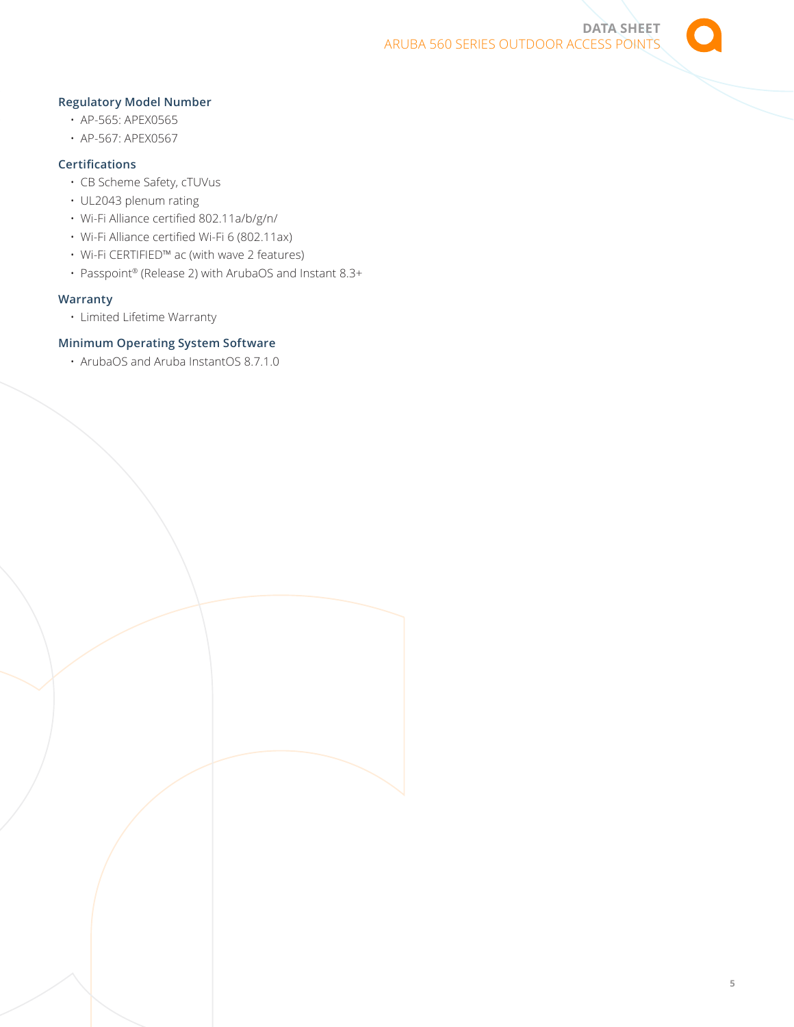

## **Regulatory Model Number**

- AP-565: APEX0565
- AP-567: APEX0567

## **Certifications**

- CB Scheme Safety, cTUVus
- UL2043 plenum rating
- Wi-Fi Alliance certified 802.11a/b/g/n/
- Wi-Fi Alliance certified Wi-Fi 6 (802.11ax)
- Wi-Fi CERTIFIED™ ac (with wave 2 features)
- Passpoint® (Release 2) with ArubaOS and Instant 8.3+

## **Warranty**

• Limited Lifetime Warranty

## **Minimum Operating System Software**

• ArubaOS and Aruba InstantOS 8.7.1.0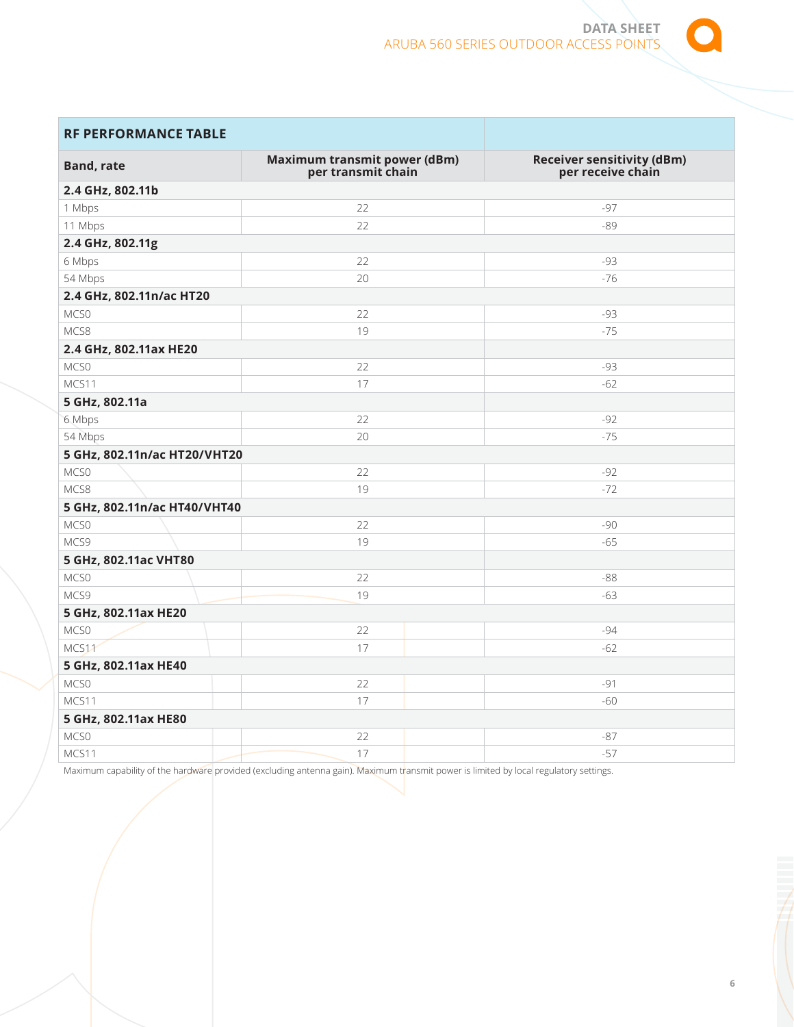

# **RF PERFORMANCE TABLE**

| <b>Band, rate</b>                            | Maximum transmit power (dBm)<br>per transmit chain | <b>Receiver sensitivity (dBm)</b><br>per receive chain |
|----------------------------------------------|----------------------------------------------------|--------------------------------------------------------|
| 2.4 GHz, 802.11b                             |                                                    |                                                        |
| 1 Mbps                                       | 22                                                 | $-97$                                                  |
| 11 Mbps                                      | 22                                                 | $-89$                                                  |
| 2.4 GHz, 802.11g                             |                                                    |                                                        |
| 6 Mbps                                       | 22                                                 | -93                                                    |
| 54 Mbps                                      | 20                                                 | $-76$                                                  |
| 2.4 GHz, 802.11n/ac HT20                     |                                                    |                                                        |
| MCS0                                         | 22                                                 | -93                                                    |
| MCS8                                         | 19                                                 | $-75$                                                  |
| 2.4 GHz, 802.11ax HE20                       |                                                    |                                                        |
| MCS0                                         | 22                                                 | -93                                                    |
| MCS11                                        | 17                                                 | $-62$                                                  |
| 5 GHz, 802.11a                               |                                                    |                                                        |
| 6 Mbps                                       | 22                                                 | $-92$                                                  |
| 54 Mbps                                      | 20                                                 | $-75$                                                  |
| 5 GHz, 802.11n/ac HT20/VHT20                 |                                                    |                                                        |
| MCS0                                         | 22                                                 | $-92$                                                  |
| MCS8                                         | 19                                                 | $-72$                                                  |
| 5 GHz, 802.11n/ac HT40/VHT40                 |                                                    |                                                        |
| MCS0                                         | 22                                                 | $-90$                                                  |
| MCS9                                         | 19                                                 | $-65$                                                  |
| 5 GHz, 802.11ac VHT80                        |                                                    |                                                        |
| MCS0                                         | 22                                                 | $-88$                                                  |
| MCS9                                         | 19                                                 | $-63$                                                  |
| 5 GHz, 802.11ax HE20                         |                                                    |                                                        |
| MCS0                                         | 22                                                 | $-94$                                                  |
| MCS11                                        | 17                                                 | $-62$                                                  |
| 5 GHz, 802.11ax HE40                         |                                                    |                                                        |
| MCS0                                         | 22                                                 | $-91$                                                  |
| MCS11                                        | 17                                                 | $-60$                                                  |
| 5 GHz, 802.11ax HE80                         |                                                    |                                                        |
| MCS0                                         | 22                                                 | $-87$                                                  |
| MCS11                                        | 17                                                 | $-57$                                                  |
| the company of the company of the company of |                                                    | .                                                      |

Maximum capability of the hardware provided (excluding antenna gain). Maximum transmit power is limited by local regulatory settings.